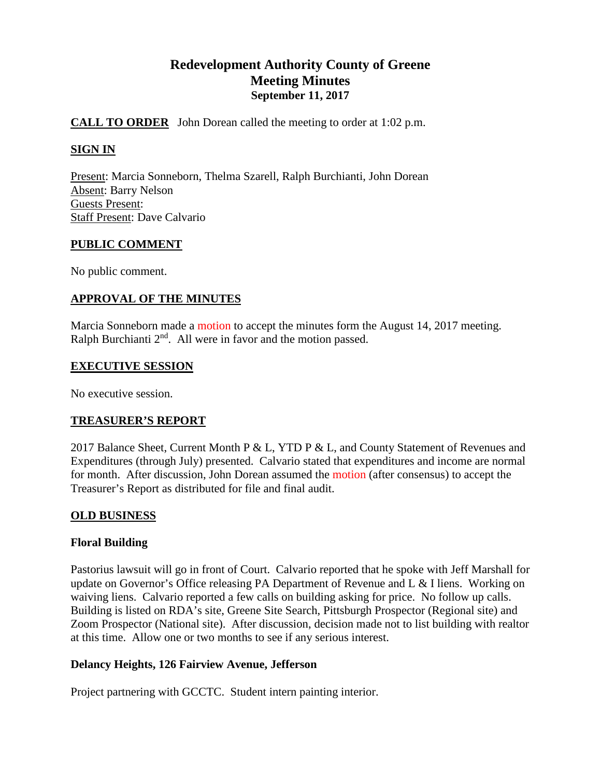# **Redevelopment Authority County of Greene Meeting Minutes September 11, 2017**

## **CALL TO ORDER** John Dorean called the meeting to order at 1:02 p.m.

## **SIGN IN**

Present: Marcia Sonneborn, Thelma Szarell, Ralph Burchianti, John Dorean Absent: Barry Nelson Guests Present: Staff Present: Dave Calvario

#### **PUBLIC COMMENT**

No public comment.

## **APPROVAL OF THE MINUTES**

Marcia Sonneborn made a motion to accept the minutes form the August 14, 2017 meeting. Ralph Burchianti  $2<sup>nd</sup>$ . All were in favor and the motion passed.

#### **EXECUTIVE SESSION**

No executive session.

## **TREASURER'S REPORT**

2017 Balance Sheet, Current Month P & L, YTD P & L, and County Statement of Revenues and Expenditures (through July) presented. Calvario stated that expenditures and income are normal for month. After discussion, John Dorean assumed the motion (after consensus) to accept the Treasurer's Report as distributed for file and final audit.

## **OLD BUSINESS**

## **Floral Building**

Pastorius lawsuit will go in front of Court. Calvario reported that he spoke with Jeff Marshall for update on Governor's Office releasing PA Department of Revenue and L & I liens. Working on waiving liens. Calvario reported a few calls on building asking for price. No follow up calls. Building is listed on RDA's site, Greene Site Search, Pittsburgh Prospector (Regional site) and Zoom Prospector (National site). After discussion, decision made not to list building with realtor at this time. Allow one or two months to see if any serious interest.

## **Delancy Heights, 126 Fairview Avenue, Jefferson**

Project partnering with GCCTC. Student intern painting interior.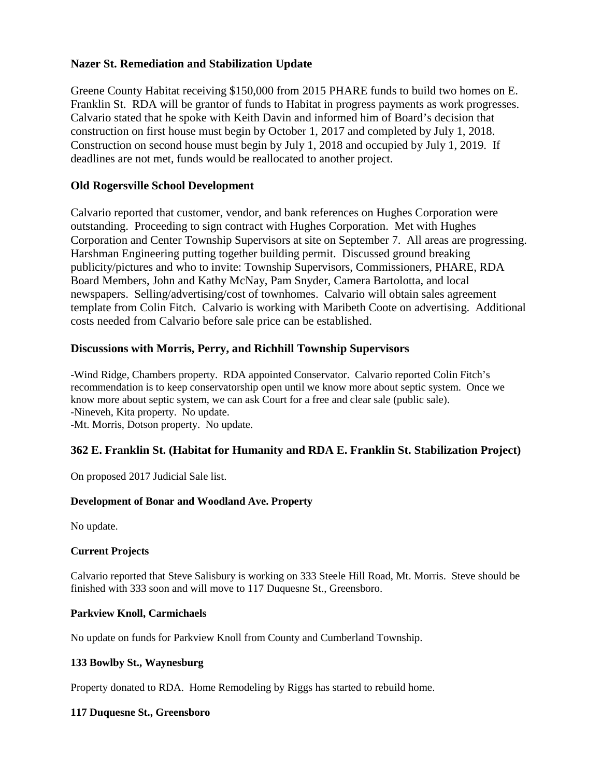## **Nazer St. Remediation and Stabilization Update**

Greene County Habitat receiving \$150,000 from 2015 PHARE funds to build two homes on E. Franklin St. RDA will be grantor of funds to Habitat in progress payments as work progresses. Calvario stated that he spoke with Keith Davin and informed him of Board's decision that construction on first house must begin by October 1, 2017 and completed by July 1, 2018. Construction on second house must begin by July 1, 2018 and occupied by July 1, 2019. If deadlines are not met, funds would be reallocated to another project.

## **Old Rogersville School Development**

Calvario reported that customer, vendor, and bank references on Hughes Corporation were outstanding. Proceeding to sign contract with Hughes Corporation. Met with Hughes Corporation and Center Township Supervisors at site on September 7. All areas are progressing. Harshman Engineering putting together building permit. Discussed ground breaking publicity/pictures and who to invite: Township Supervisors, Commissioners, PHARE, RDA Board Members, John and Kathy McNay, Pam Snyder, Camera Bartolotta, and local newspapers. Selling/advertising/cost of townhomes. Calvario will obtain sales agreement template from Colin Fitch. Calvario is working with Maribeth Coote on advertising. Additional costs needed from Calvario before sale price can be established.

## **Discussions with Morris, Perry, and Richhill Township Supervisors**

-Wind Ridge, Chambers property. RDA appointed Conservator. Calvario reported Colin Fitch's recommendation is to keep conservatorship open until we know more about septic system. Once we know more about septic system, we can ask Court for a free and clear sale (public sale). -Nineveh, Kita property. No update. -Mt. Morris, Dotson property. No update.

## **362 E. Franklin St. (Habitat for Humanity and RDA E. Franklin St. Stabilization Project)**

On proposed 2017 Judicial Sale list.

## **Development of Bonar and Woodland Ave. Property**

No update.

## **Current Projects**

Calvario reported that Steve Salisbury is working on 333 Steele Hill Road, Mt. Morris. Steve should be finished with 333 soon and will move to 117 Duquesne St., Greensboro.

#### **Parkview Knoll, Carmichaels**

No update on funds for Parkview Knoll from County and Cumberland Township.

#### **133 Bowlby St., Waynesburg**

Property donated to RDA. Home Remodeling by Riggs has started to rebuild home.

#### **117 Duquesne St., Greensboro**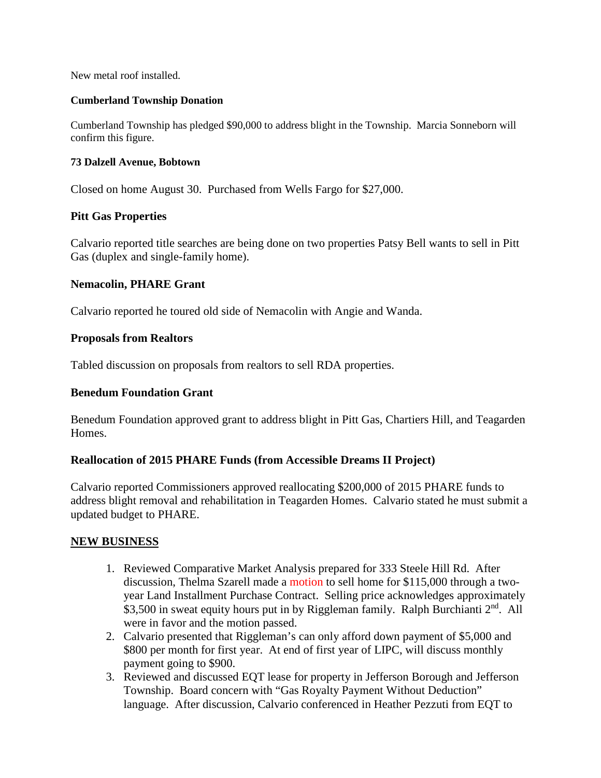New metal roof installed.

#### **Cumberland Township Donation**

Cumberland Township has pledged \$90,000 to address blight in the Township. Marcia Sonneborn will confirm this figure.

#### **73 Dalzell Avenue, Bobtown**

Closed on home August 30. Purchased from Wells Fargo for \$27,000.

## **Pitt Gas Properties**

Calvario reported title searches are being done on two properties Patsy Bell wants to sell in Pitt Gas (duplex and single-family home).

## **Nemacolin, PHARE Grant**

Calvario reported he toured old side of Nemacolin with Angie and Wanda.

#### **Proposals from Realtors**

Tabled discussion on proposals from realtors to sell RDA properties.

#### **Benedum Foundation Grant**

Benedum Foundation approved grant to address blight in Pitt Gas, Chartiers Hill, and Teagarden Homes.

## **Reallocation of 2015 PHARE Funds (from Accessible Dreams II Project)**

Calvario reported Commissioners approved reallocating \$200,000 of 2015 PHARE funds to address blight removal and rehabilitation in Teagarden Homes. Calvario stated he must submit a updated budget to PHARE.

#### **NEW BUSINESS**

- 1. Reviewed Comparative Market Analysis prepared for 333 Steele Hill Rd. After discussion, Thelma Szarell made a motion to sell home for \$115,000 through a twoyear Land Installment Purchase Contract. Selling price acknowledges approximately \$3,500 in sweat equity hours put in by Riggleman family. Ralph Burchianti 2<sup>nd</sup>. All were in favor and the motion passed.
- 2. Calvario presented that Riggleman's can only afford down payment of \$5,000 and \$800 per month for first year. At end of first year of LIPC, will discuss monthly payment going to \$900.
- 3. Reviewed and discussed EQT lease for property in Jefferson Borough and Jefferson Township. Board concern with "Gas Royalty Payment Without Deduction" language. After discussion, Calvario conferenced in Heather Pezzuti from EQT to